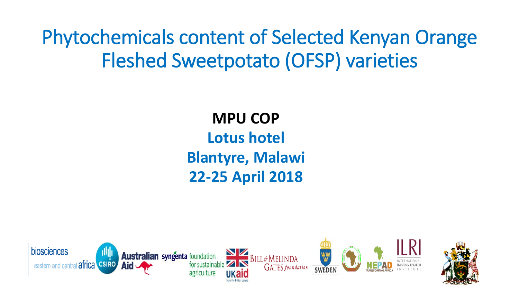Phytochemicals content of Selected Kenyan Orange Fleshed Sweetpotato (OFSP) varieties

> **MPU COP Lotus hotel Blantyre, Malawi 22-25 April 2018**

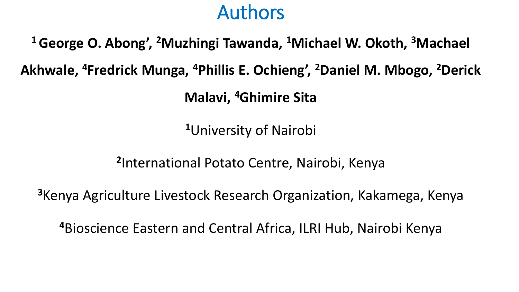## Authors

<sup>1</sup> George O. Abong', <sup>2</sup>Muzhingi Tawanda, <sup>1</sup>Michael W. Okoth, <sup>3</sup>Machael

Akhwale, <sup>4</sup>Fredrick Munga, <sup>4</sup>Phillis E. Ochieng', <sup>2</sup>Daniel M. Mbogo, <sup>2</sup>Derick

**Malavi, 4Ghimire Sita**

**<sup>1</sup>**University of Nairobi

**<sup>2</sup>**International Potato Centre, Nairobi, Kenya

**<sup>3</sup>**Kenya Agriculture Livestock Research Organization, Kakamega, Kenya

**4**Bioscience Eastern and Central Africa, ILRI Hub, Nairobi Kenya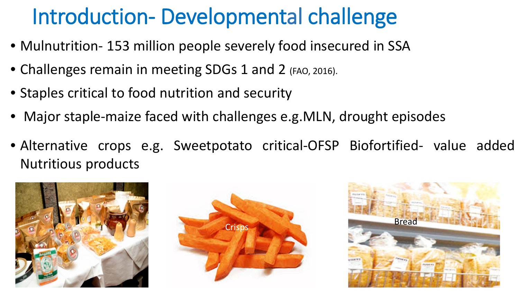# Introduction- Developmental challenge

- Mulnutrition- 153 million people severely food insecured in SSA
- Challenges remain in meeting SDGs 1 and 2 (FAO, 2016).
- Staples critical to food nutrition and security
- Major staple-maize faced with challenges e.g. MLN, drought episodes
- Alternative crops e.g. Sweetpotato critical-OFSP Biofortified- value added Nutritious products





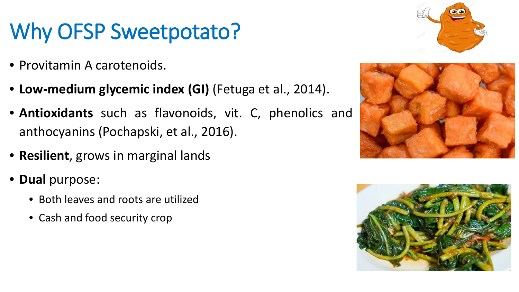# Why OFSP Sweetpotato?

- Provitamin A carotenoids.
- **Low-medium glycemic index (GI)** (Fetuga et al., 2014).
- **Antioxidants** such as flavonoids, vit. C, phenolics and anthocyanins (Pochapski, et al., 2016).
- **Resilient**, grows in marginal lands
- **Dual** purpose:
	- Both leaves and roots are utilized
	- Cash and food security crop





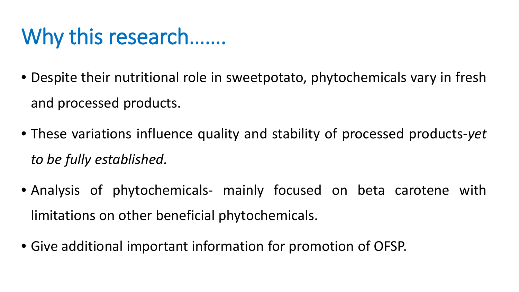# Why this research…….

- Despite their nutritional role in sweetpotato, phytochemicals vary in fresh and processed products.
- These variations influence quality and stability of processed products-*yet to be fully established.*
- Analysis of phytochemicals- mainly focused on beta carotene with limitations on other beneficial phytochemicals.
- Give additional important information for promotion of OFSP.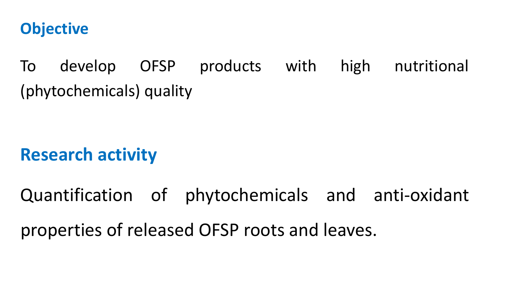### **Objective**

To develop OFSP products with high nutritional (phytochemicals) quality

## **Research activity**

Quantification of phytochemicals and anti-oxidant properties of released OFSP roots and leaves.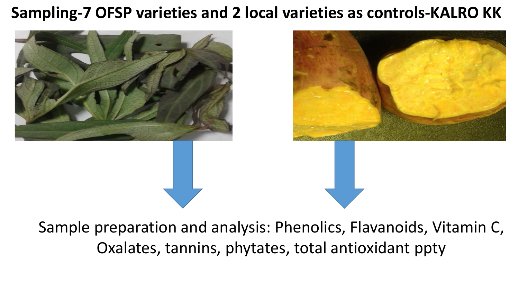### **Sampling-7 OFSP varieties and 2 local varieties as controls-KALRO KK**





Sample preparation and analysis: Phenolics, Flavanoids, Vitamin C, Oxalates, tannins, phytates, total antioxidant ppty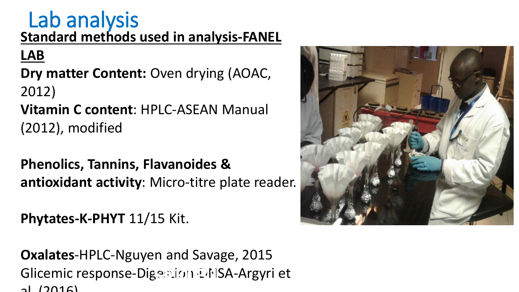## **Standard methods used in analysis-FANEL**  Lab analysis

**LAB**

**Dry matter Content:** Oven drying (AOAC, 2012)

**Vitamin C content**: HPLC-ASEAN Manual (2012), modified

**Phenolics, Tannins, Flavanoides & antioxidant activity**: Micro-titre plate reader.

Phytates-K-PHYT 11/15 Kit.

**Oxalates**-HPLC-Nguyen and Savage, 2015 Glicemic response-Digestion DNSA-Argyri et al  $(2016)$ 

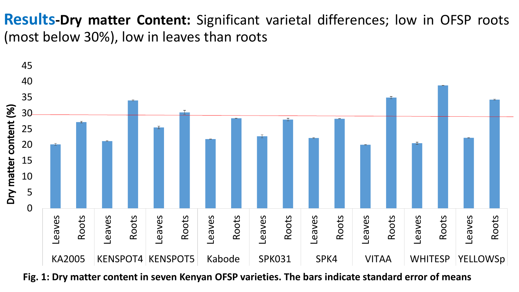#### **Results-Dry matter Content:** Significant varietal differences; low in OFSP roots (most below 30%), low in leaves than roots



**Kansus 1: Dry matter content in seven Kenyan C Fig. 1: Dry matter content in seven Kenyan OFSP varieties. The bars indicate standard error of means**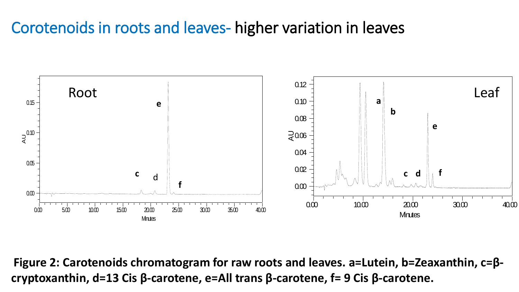### Corotenoids in roots and leaves- higher variation in leaves



**Figure 2: Carotenoids chromatogram for raw roots and leaves. a=Lutein, b=Zeaxanthin, c=βcryptoxanthin, d=13 Cis β-carotene, e=All trans β-carotene, f= 9 Cis β-carotene.**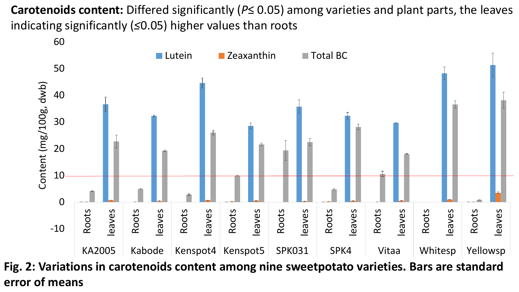**Carotenoids content:** Differed significantly (*P*≤ 0.05) among varieties and plant parts, the leaves indicating significantly (*≤*0.05) higher values than roots



**Fig. 2: Variations in carotenoids content among nine sweetpotato varieties. Bars are standard error of means**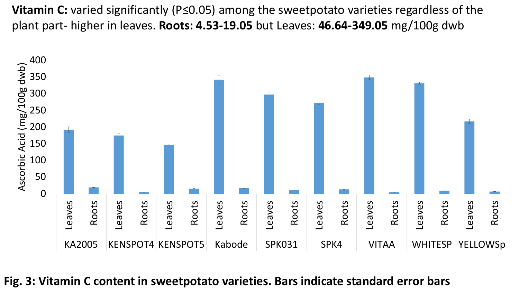**Vitamin C:** varied significantly (P≤0.05) among the sweetpotato varieties regardless of the plant part- higher in leaves. **Roots: 4.53-19.05** but Leaves: **46.64-349.05** mg/100g dwb



#### **Fig. 3: Vitamin C content in sweetpotato varieties. Bars indicate standard error bars**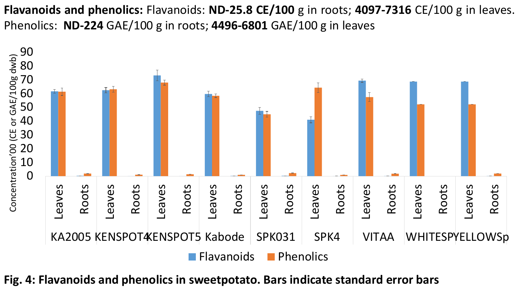**Flavanoids and phenolics:** Flavanoids: **ND-25.8 CE/100** g in roots; **4097-7316** CE/100 g in leaves. Phenolics: **ND-224** GAE/100 g in roots; **4496-6801** GAE/100 g in leaves



**Fig. 4: Flavanoids and phenolics in sweetpotato. Bars indicate standard error bars**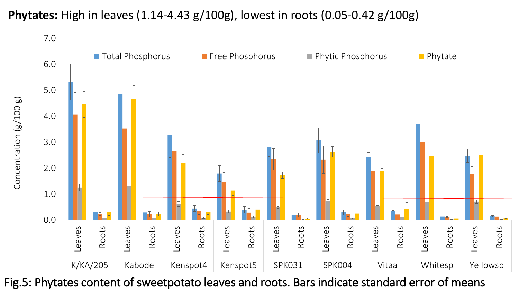**Phytates:** High in leaves (1.14-4.43 g/100g), lowest in roots (0.05-0.42 g/100g)



Fig.5: Phytates content of sweetpotato leaves and roots. Bars indicate standard error of means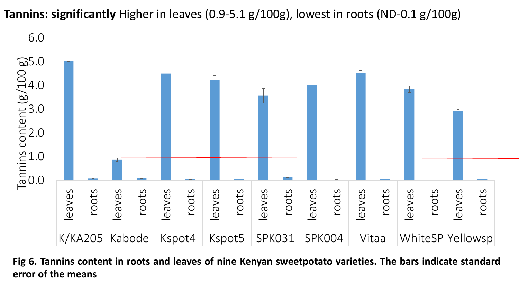**Tannins: significantly** Higher in leaves (0.9-5.1 g/100g), lowest in roots (ND-0.1 g/100g)

6.0



Fig 6. Tannins content in roots and leaves of nine Kenyan sweetpotato varieties. The bars indicate standard **error of the means**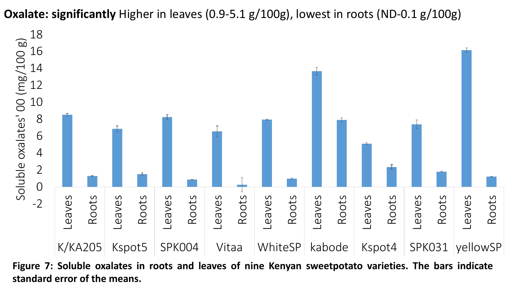**Oxalate: significantly** Higher in leaves (0.9-5.1 g/100g), lowest in roots (ND-0.1 g/100g)



**Figure 7: Soluble oxalates in roots and leaves of nine Kenyan sweetpotato varieties. The bars indicate standard error of the means.**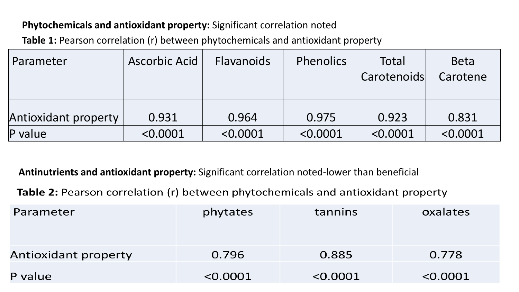#### **Phytochemicals and antioxidant property:** Significant correlation noted

**Table 1:** Pearson correlation (r) between phytochemicals and antioxidant property

| Parameter            | Ascorbic Acid | <b>Flavanoids</b> | <b>Phenolics</b> | Total<br><b>Carotenoids</b> | <b>Beta</b><br>Carotene |
|----------------------|---------------|-------------------|------------------|-----------------------------|-------------------------|
| Antioxidant property | 0.931         | 0.964             | 0.975            | 0.923                       | 0.831                   |
| $P$ value            | < 0.0001      | < 0.0001          | < 0.0001         | < 0.0001                    | < 0.0001                |

**K/KA/2004/2005 K/KA/2004/2005 Kenspot5 Antinutrients and antioxidant property:** Significant correlation noted-lower than beneficial

Table 2: Pearson correlation (r) between phytochemicals and antioxidant property

| Parameter            | phytates | tannins  | oxalates |
|----------------------|----------|----------|----------|
| Antioxidant property | 0.796    | 0.885    | 0.778    |
| P value              | < 0.0001 | < 0.0001 | < 0.0001 |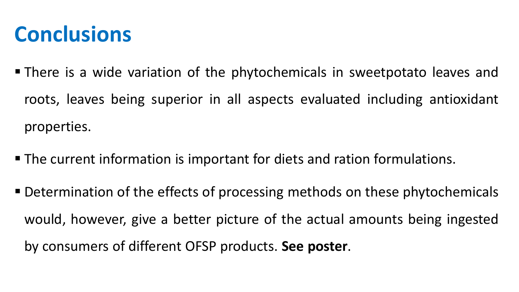## **Conclusions**

- **There is a wide variation of the phytochemicals in sweetpotato leaves and** roots, leaves being superior in all aspects evaluated including antioxidant properties.
- The current information is important for diets and ration formulations.
- Determination of the effects of processing methods on these phytochemicals would, however, give a better picture of the actual amounts being ingested by consumers of different OFSP products. **See poster**.